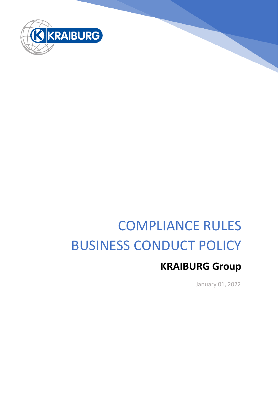

# COMPLIANCE RULES BUSINESS CONDUCT POLICY

# **KRAIBURG Group**

January 01, 2022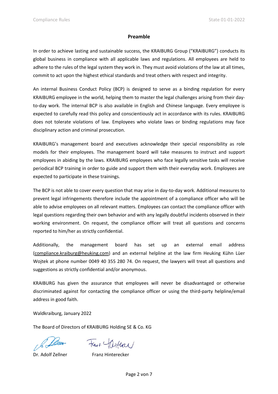#### **Preamble**

In order to achieve lasting and sustainable success, the KRAIBURG Group ("KRAIBURG") conducts its global business in compliance with all applicable laws and regulations. All employees are held to adhere to the rules of the legal system they work in. They must avoid violations of the law at all times, commit to act upon the highest ethical standards and treat others with respect and integrity.

An internal Business Conduct Policy (BCP) is designed to serve as a binding regulation for every KRAIBURG employee in the world, helping them to master the legal challenges arising from their dayto-day work. The internal BCP is also available in English and Chinese language. Every employee is expected to carefully read this policy and conscientiously act in accordance with its rules. KRAIBURG does not tolerate violations of law. Employees who violate laws or binding regulations may face disciplinary action and criminal prosecution.

KRAIBURG's management board and executives acknowledge their special responsibility as role models for their employees. The management board will take measures to instruct and support employees in abiding by the laws. KRAIBURG employees who face legally sensitive tasks will receive periodical BCP training in order to guide and support them with their everyday work. Employees are expected to participate in these trainings.

The BCP is not able to cover every question that may arise in day-to-day work. Additional measures to prevent legal infringements therefore include the appointment of a compliance officer who will be able to advise employees on all relevant matters. Employees can contact the compliance officer with legal questions regarding their own behavior and with any legally doubtful incidents observed in their working environment. On request, the compliance officer will treat all questions and concerns reported to him/her as strictly confidential.

Additionally, the management board has set up an external email address [\(compliance.kraiburg@heuking.com\)](mailto:compliance.kraiburg@heuking.com) and an external helpline at the law firm Heuking Kühn Lüer Wojtek at phone number 0049 40 355 280 74. On request, the lawyers will treat all questions and suggestions as strictly confidential and/or anonymous.

KRAIBURG has given the assurance that employees will never be disadvantaged or otherwise discriminated against for contacting the compliance officer or using the third-party helpline/email address in good faith.

Waldkraiburg, January 2022

The Board of Directors of KRAIBURG Holding SE & Co. KG

Frank Certace

Dr. Adolf Zellner Franz Hinterecker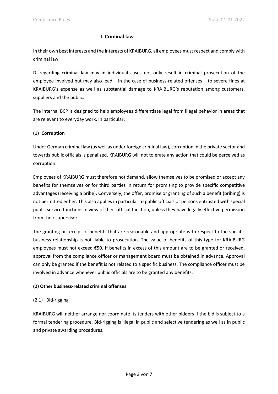### **I. Criminal law**

In their own best interests and the interests of KRAIBURG, all employees must respect and comply with criminal law.

Disregarding criminal law may in individual cases not only result in criminal prosecution of the employee involved but may also lead – in the case of business-related offenses – to severe fines at KRAIBURG's expense as well as substantial damage to KRAIBURG's reputation among customers, suppliers and the public.

The internal BCP is designed to help employees differentiate legal from illegal behavior in areas that are relevant to everyday work. In particular:

# **(1) Corruption**

Under German criminal law (as well as under foreign criminal law), corruption in the private sector and towards public officials is penalized. KRAIBURG will not tolerate any action that could be perceived as corruption.

Employees of KRAIBURG must therefore not demand, allow themselves to be promised or accept any benefits for themselves or for third parties in return for promising to provide specific competitive advantages (receiving a bribe). Conversely, the offer, promise or granting of such a benefit (bribing) is not permitted either. This also applies in particular to public officials or persons entrusted with special public service functions in view of their official function, unless they have legally effective permission from their supervisor.

The granting or receipt of benefits that are reasonable and appropriate with respect to the specific business relationship is not liable to prosecution. The value of benefits of this type for KRAIBURG employees must not exceed €50. If benefits in excess of this amount are to be granted or received, approval from the compliance officer or management board must be obtained in advance. Approval can only be granted if the benefit is not related to a specific business. The compliance officer must be involved in advance whenever public officials are to be granted any benefits.

# **(2) Other business-related criminal offenses**

# (2.1) Bid-rigging

KRAIBURG will neither arrange nor coordinate its tenders with other bidders if the bid is subject to a formal tendering procedure. Bid-rigging is illegal in public and selective tendering as well as in public and private awarding procedures.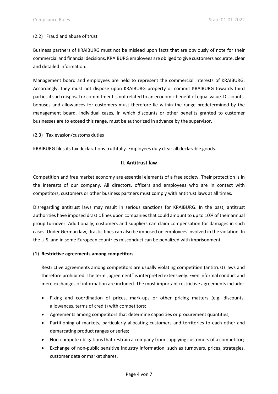#### (2.2) Fraud and abuse of trust

Business partners of KRAIBURG must not be mislead upon facts that are obviously of note for their commercial and financial decisions. KRAIBURG employees are obliged to give customers accurate, clear and detailed information.

Management board and employees are held to represent the commercial interests of KRAIBURG. Accordingly, they must not dispose upon KRAIBURG property or commit KRAIBURG towards third parties if such disposal or commitment is not related to an economic benefit of equal value. Discounts, bonuses and allowances for customers must therefore lie within the range predetermined by the management board. Individual cases, in which discounts or other benefits granted to customer businesses are to exceed this range, must be authorized in advance by the supervisor.

(2.3) Tax evasion/customs duties

KRAIBURG files its tax declarations truthfully. Employees duly clear all declarable goods.

#### **II. Antitrust law**

Competition and free market economy are essential elements of a free society. Their protection is in the interests of our company. All directors, officers and employees who are in contact with competitors, customers or other business partners must comply with antitrust laws at all times.

Disregarding antitrust laws may result in serious sanctions for KRAIBURG. In the past, antitrust authorities have imposed drastic fines upon companies that could amount to up to 10% of their annual group turnover. Additionally, customers and suppliers can claim compensation for damages in such cases. Under German law, drastic fines can also be imposed on employees involved in the violation. In the U.S. and in some European countries misconduct can be penalized with imprisonment.

#### **(1) Restrictive agreements among competitors**

Restrictive agreements among competitors are usually violating competition (antitrust) laws and therefore prohibited. The term "agreement" is interpreted extensively. Even informal conduct and mere exchanges of information are included. The most important restrictive agreements include:

- Fixing and coordination of prices, mark-ups or other pricing matters (e.g. discounts, allowances, terms of credit) with competitors;
- Agreements among competitors that determine capacities or procurement quantities;
- Partitioning of markets, particularly allocating customers and territories to each other and demarcating product ranges or series;
- Non-compete obligations that restrain a company from supplying customers of a competitor;
- Exchange of non-public sensitive industry information, such as turnovers, prices, strategies, customer data or market shares.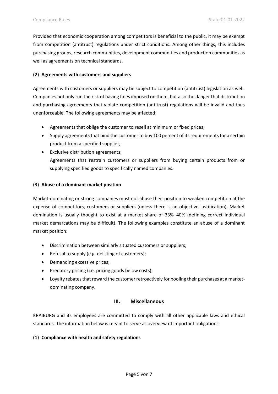Provided that economic cooperation among competitors is beneficial to the public, it may be exempt from competition (antitrust) regulations under strict conditions. Among other things, this includes purchasing groups, research communities, development communities and production communities as well as agreements on technical standards.

#### **(2) Agreements with customers and suppliers**

Agreements with customers or suppliers may be subject to competition (antitrust) legislation as well. Companies not only run the risk of having fines imposed on them, but also the danger that distribution and purchasing agreements that violate competition (antitrust) regulations will be invalid and thus unenforceable. The following agreements may be affected:

- Agreements that oblige the customer to resell at minimum or fixed prices;
- Supply agreements that bind the customer to buy 100 percent of its requirements for a certain product from a specified supplier;
- Exclusive distribution agreements; Agreements that restrain customers or suppliers from buying certain products from or supplying specified goods to specifically named companies.

#### **(3) Abuse of a dominant market position**

Market-dominating or strong companies must not abuse their position to weaken competition at the expense of competitors, customers or suppliers (unless there is an objective justification). Market domination is usually thought to exist at a market share of 33%–40% (defining correct individual market demarcations may be difficult). The following examples constitute an abuse of a dominant market position:

- Discrimination between similarly situated customers or suppliers;
- Refusal to supply (e.g. delisting of customers);
- Demanding excessive prices;
- Predatory pricing (i.e. pricing goods below costs);
- Loyalty rebates that reward the customer retroactively for pooling their purchases at a marketdominating company.

#### **III. Miscellaneous**

KRAIBURG and its employees are committed to comply with all other applicable laws and ethical standards. The information below is meant to serve as overview of important obligations.

#### **(1) Compliance with health and safety regulations**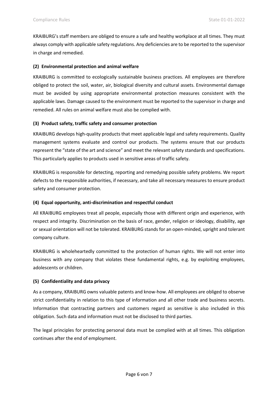KRAIBURG's staff members are obliged to ensure a safe and healthy workplace at all times. They must always comply with applicable safety regulations. Any deficiencies are to be reported to the supervisor in charge and remedied.

#### **(2) Environmental protection and animal welfare**

KRAIBURG is committed to ecologically sustainable business practices. All employees are therefore obliged to protect the soil, water, air, biological diversity and cultural assets. Environmental damage must be avoided by using appropriate environmental protection measures consistent with the applicable laws. Damage caused to the environment must be reported to the supervisor in charge and remedied. All rules on animal welfare must also be complied with.

#### **(3) Product safety, traffic safety and consumer protection**

KRAIBURG develops high-quality products that meet applicable legal and safety requirements. Quality management systems evaluate and control our products. The systems ensure that our products represent the "state of the art and science" and meet the relevant safety standards and specifications. This particularly applies to products used in sensitive areas of traffic safety.

KRAIBURG is responsible for detecting, reporting and remedying possible safety problems. We report defects to the responsible authorities, if necessary, and take all necessary measures to ensure product safety and consumer protection.

#### **(4) Equal opportunity, anti-discrimination and respectful conduct**

All KRAIBURG employees treat all people, especially those with different origin and experience, with respect and integrity. Discrimination on the basis of race, gender, religion or ideology, disability, age or sexual orientation will not be tolerated. KRAIBURG stands for an open-minded, upright and tolerant company culture.

KRAIBURG is wholeheartedly committed to the protection of human rights. We will not enter into business with any company that violates these fundamental rights, e.g. by exploiting employees, adolescents or children.

# **(5) Confidentiality and data privacy**

As a company, KRAIBURG owns valuable patents and know-how. All employees are obliged to observe strict confidentiality in relation to this type of information and all other trade and business secrets. Information that contracting partners and customers regard as sensitive is also included in this obligation. Such data and information must not be disclosed to third parties.

The legal principles for protecting personal data must be complied with at all times. This obligation continues after the end of employment.